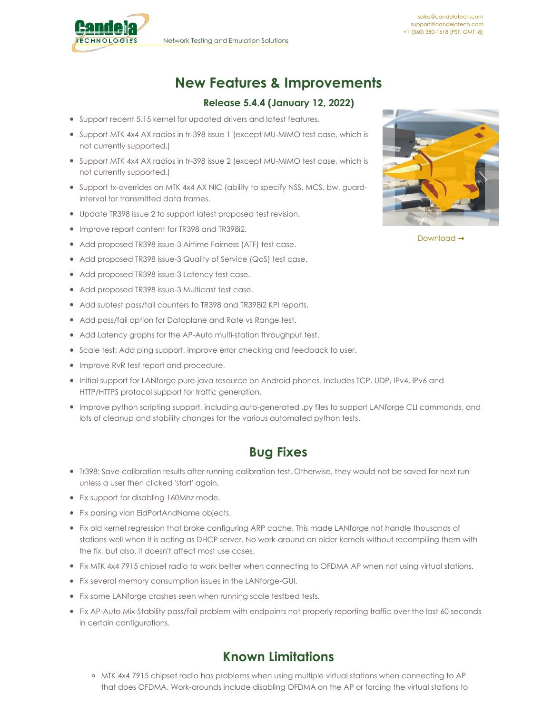

# **New Features & Improvements**

#### **Release 5.4.4 (January 12, 2022)**

- Support recent 5.15 kernel for updated drivers and latest features.
- Support MTK 4x4 AX radios in tr-398 issue 1 (except MU-MIMO test case, which is not currently supported.)
- Support MTK 4x4 AX radios in tr-398 issue 2 (except MU-MIMO test case, which is not currently supported.)
- Support tx-overrides on MTK 4x4 AX NIC (ability to specify NSS, MCS, bw, guardinterval for transmitted data frames.
- Update TR398 issue 2 to support latest proposed test revision.
- Improve report content for TR398 and TR398i2.
- Add proposed TR398 issue-3 Airtime Fairness (ATF) test case.
- Add proposed TR398 issue-3 Quality of Service (QoS) test case.
- Add proposed TR398 issue-3 Latency test case.
- Add proposed TR398 issue-3 Multicast test case.
- Add subtest pass/fail counters to TR398 and TR398i2 KPI reports.
- Add pass/fail option for Dataplane and Rate vs Range test.
- Add Latency graphs for the AP-Auto multi-station throughput test.
- Scale test: Add ping support, improve error checking and feedback to user.
- **•** Improve RvR test report and procedure.
- Initial support for LANforge pure-java resource on Android phones. Includes TCP, UDP, IPv4, IPv6 and HTTP/HTTPS protocol support for traffic generation.
- Improve python scripting support, including auto-generated .py files to support LANforge CLI commands, and lots of cleanup and stability changes for the various automated python tests.

### **Bug Fixes**

- Tr398: Save calibration results after running calibration test. Otherwise, they would not be saved for next run unless a user then clicked 'start' again.
- Fix support for disabling 160Mhz mode.
- Fix parsing vlan EidPortAndName objects.
- Fix old kernel regression that broke configuring ARP cache. This made LANforge not handle thousands of stations well when it is acting as DHCP server. No work-around on older kernels without recompiling them with the fix, but also, it doesn't affect most use cases.
- Fix MTK 4x4 7915 chipset radio to work better when connecting to OFDMA AP when not using virtual stations.
- Fix several memory consumption issues in the LANforge-GUI.
- Fix some LANforge crashes seen when running scale testbed tests.
- Fix AP-Auto Mix-Stability pass/fail problem with endpoints not properly reporting traffic over the last 60 seconds in certain configurations.

## **Known Limitations**

o MTK 4x4 7915 chipset radio has problems when using multiple virtual stations when connecting to AP that does OFDMA. Work-arounds include disabling OFDMA on the AP or forcing the virtual stations to



Download **→**